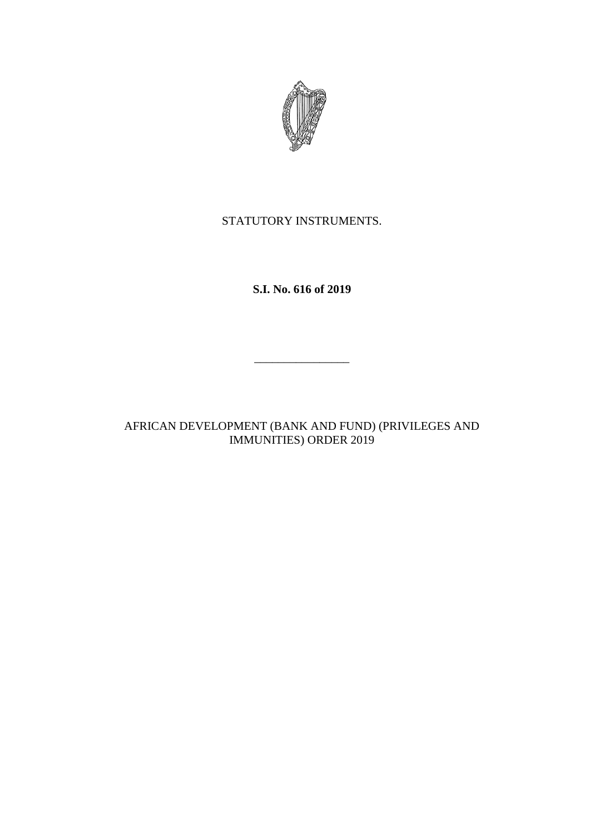

STATUTORY INSTRUMENTS.

**S.I. No. 616 of 2019**

 $\frac{1}{2}$ 

AFRICAN DEVELOPMENT (BANK AND FUND) (PRIVILEGES AND IMMUNITIES) ORDER 2019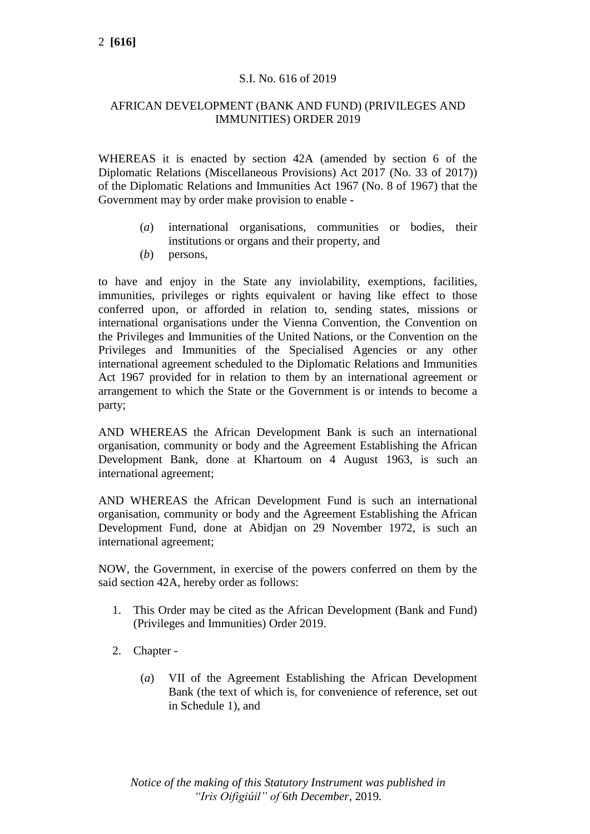# S.I. No. 616 of 2019

# AFRICAN DEVELOPMENT (BANK AND FUND) (PRIVILEGES AND IMMUNITIES) ORDER 2019

WHEREAS it is enacted by section 42A (amended by section 6 of the Diplomatic Relations (Miscellaneous Provisions) Act 2017 (No. 33 of 2017)) of the Diplomatic Relations and Immunities Act 1967 (No. 8 of 1967) that the Government may by order make provision to enable -

- (*a*) international organisations, communities or bodies, their institutions or organs and their property, and
- (*b*) persons,

to have and enjoy in the State any inviolability, exemptions, facilities, immunities, privileges or rights equivalent or having like effect to those conferred upon, or afforded in relation to, sending states, missions or international organisations under the Vienna Convention, the Convention on the Privileges and Immunities of the United Nations, or the Convention on the Privileges and Immunities of the Specialised Agencies or any other international agreement scheduled to the Diplomatic Relations and Immunities Act 1967 provided for in relation to them by an international agreement or arrangement to which the State or the Government is or intends to become a party;

AND WHEREAS the African Development Bank is such an international organisation, community or body and the Agreement Establishing the African Development Bank, done at Khartoum on 4 August 1963, is such an international agreement;

AND WHEREAS the African Development Fund is such an international organisation, community or body and the Agreement Establishing the African Development Fund, done at Abidjan on 29 November 1972, is such an international agreement;

NOW, the Government, in exercise of the powers conferred on them by the said section 42A, hereby order as follows:

- 1. This Order may be cited as the African Development (Bank and Fund) (Privileges and Immunities) Order 2019.
- 2. Chapter
	- (*a*) VII of the Agreement Establishing the African Development Bank (the text of which is, for convenience of reference, set out in Schedule 1), and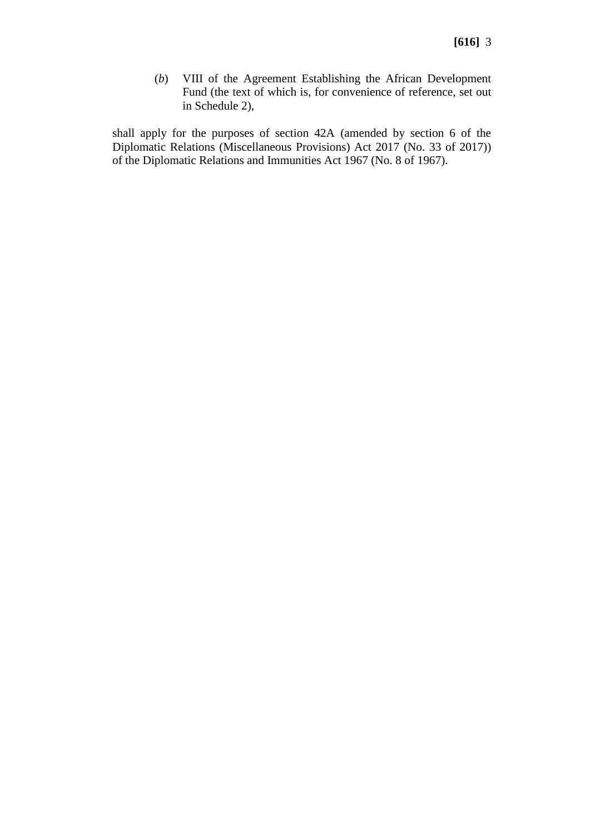(*b*) VIII of the Agreement Establishing the African Development Fund (the text of which is, for convenience of reference, set out in Schedule 2),

shall apply for the purposes of section 42A (amended by section 6 of the Diplomatic Relations (Miscellaneous Provisions) Act 2017 (No. 33 of 2017)) of the Diplomatic Relations and Immunities Act 1967 (No. 8 of 1967).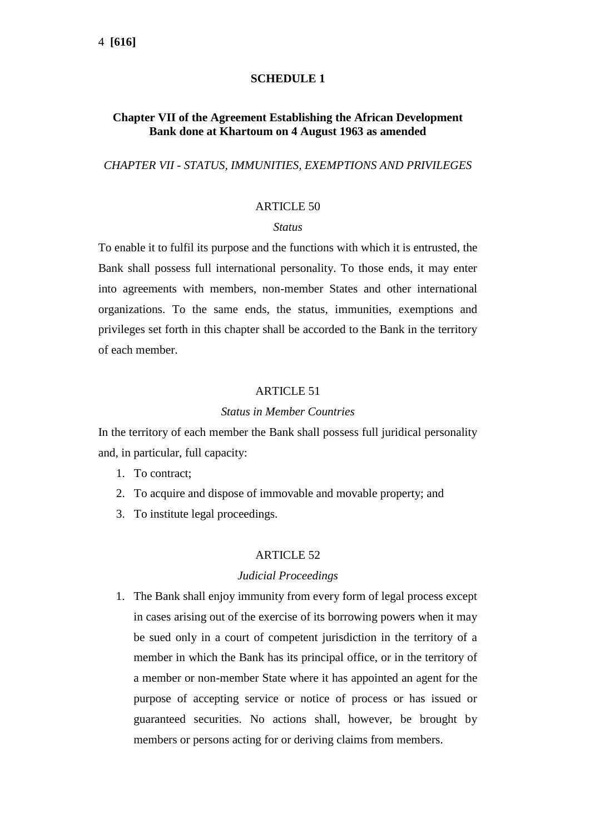## **SCHEDULE 1**

# **Chapter VII of the Agreement Establishing the African Development Bank done at Khartoum on 4 August 1963 as amended**

## *CHAPTER VII - STATUS, IMMUNITIES, EXEMPTIONS AND PRIVILEGES*

### ARTICLE 50

#### *Status*

To enable it to fulfil its purpose and the functions with which it is entrusted, the Bank shall possess full international personality. To those ends, it may enter into agreements with members, non-member States and other international organizations. To the same ends, the status, immunities, exemptions and privileges set forth in this chapter shall be accorded to the Bank in the territory of each member.

### **ARTICLE 51**

### *Status in Member Countries*

In the territory of each member the Bank shall possess full juridical personality and, in particular, full capacity:

- 1. To contract;
- 2. To acquire and dispose of immovable and movable property; and
- 3. To institute legal proceedings.

#### ARTICLE 52

#### *Judicial Proceedings*

1. The Bank shall enjoy immunity from every form of legal process except in cases arising out of the exercise of its borrowing powers when it may be sued only in a court of competent jurisdiction in the territory of a member in which the Bank has its principal office, or in the territory of a member or non-member State where it has appointed an agent for the purpose of accepting service or notice of process or has issued or guaranteed securities. No actions shall, however, be brought by members or persons acting for or deriving claims from members.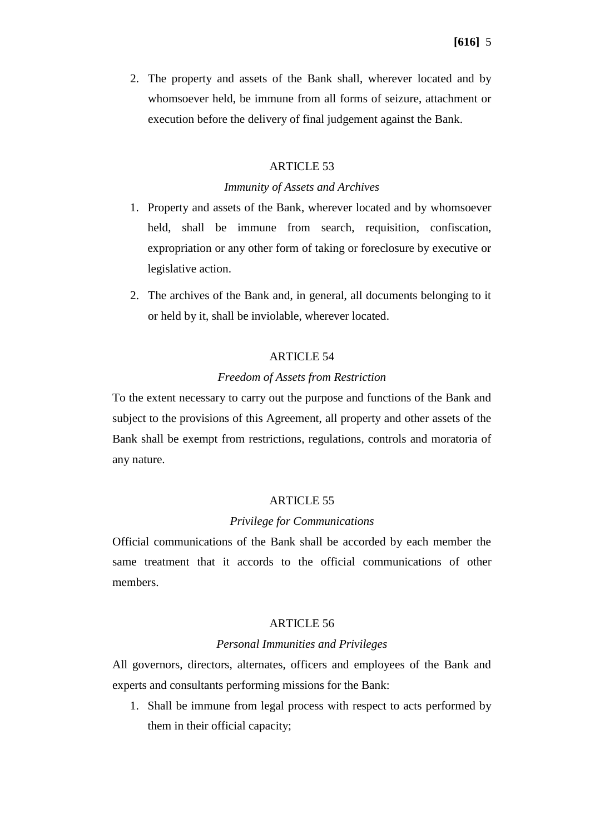2. The property and assets of the Bank shall, wherever located and by whomsoever held, be immune from all forms of seizure, attachment or execution before the delivery of final judgement against the Bank.

# ARTICLE 53

### *Immunity of Assets and Archives*

- 1. Property and assets of the Bank, wherever located and by whomsoever held, shall be immune from search, requisition, confiscation, expropriation or any other form of taking or foreclosure by executive or legislative action.
- 2. The archives of the Bank and, in general, all documents belonging to it or held by it, shall be inviolable, wherever located.

## ARTICLE 54

### *Freedom of Assets from Restriction*

To the extent necessary to carry out the purpose and functions of the Bank and subject to the provisions of this Agreement, all property and other assets of the Bank shall be exempt from restrictions, regulations, controls and moratoria of any nature.

#### ARTICLE 55

#### *Privilege for Communications*

Official communications of the Bank shall be accorded by each member the same treatment that it accords to the official communications of other members.

## ARTICLE 56

### *Personal Immunities and Privileges*

All governors, directors, alternates, officers and employees of the Bank and experts and consultants performing missions for the Bank:

1. Shall be immune from legal process with respect to acts performed by them in their official capacity;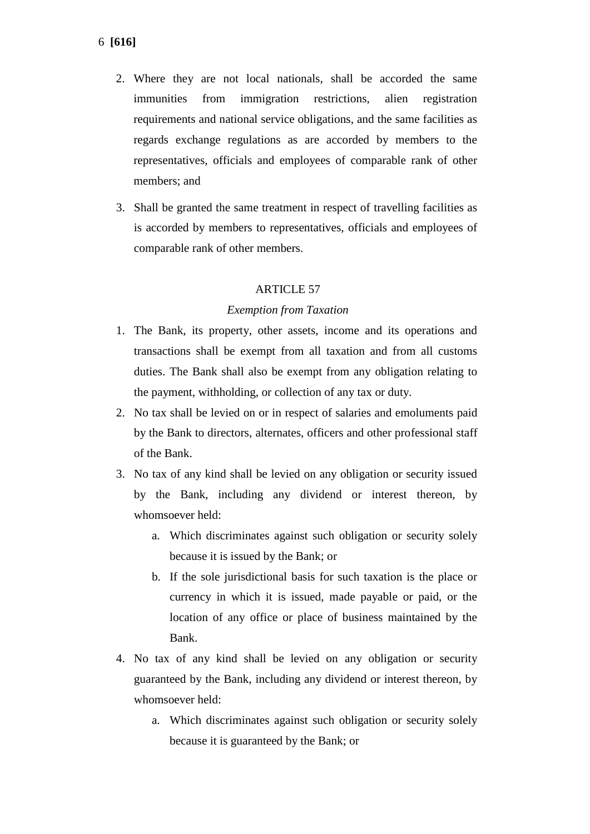- 2. Where they are not local nationals, shall be accorded the same immunities from immigration restrictions, alien registration requirements and national service obligations, and the same facilities as regards exchange regulations as are accorded by members to the representatives, officials and employees of comparable rank of other members; and
- 3. Shall be granted the same treatment in respect of travelling facilities as is accorded by members to representatives, officials and employees of comparable rank of other members.

# ARTICLE 57

### *Exemption from Taxation*

- 1. The Bank, its property, other assets, income and its operations and transactions shall be exempt from all taxation and from all customs duties. The Bank shall also be exempt from any obligation relating to the payment, withholding, or collection of any tax or duty.
- 2. No tax shall be levied on or in respect of salaries and emoluments paid by the Bank to directors, alternates, officers and other professional staff of the Bank.
- 3. No tax of any kind shall be levied on any obligation or security issued by the Bank, including any dividend or interest thereon, by whomsoever held:
	- a. Which discriminates against such obligation or security solely because it is issued by the Bank; or
	- b. If the sole jurisdictional basis for such taxation is the place or currency in which it is issued, made payable or paid, or the location of any office or place of business maintained by the Bank.
- 4. No tax of any kind shall be levied on any obligation or security guaranteed by the Bank, including any dividend or interest thereon, by whomsoever held:
	- a. Which discriminates against such obligation or security solely because it is guaranteed by the Bank; or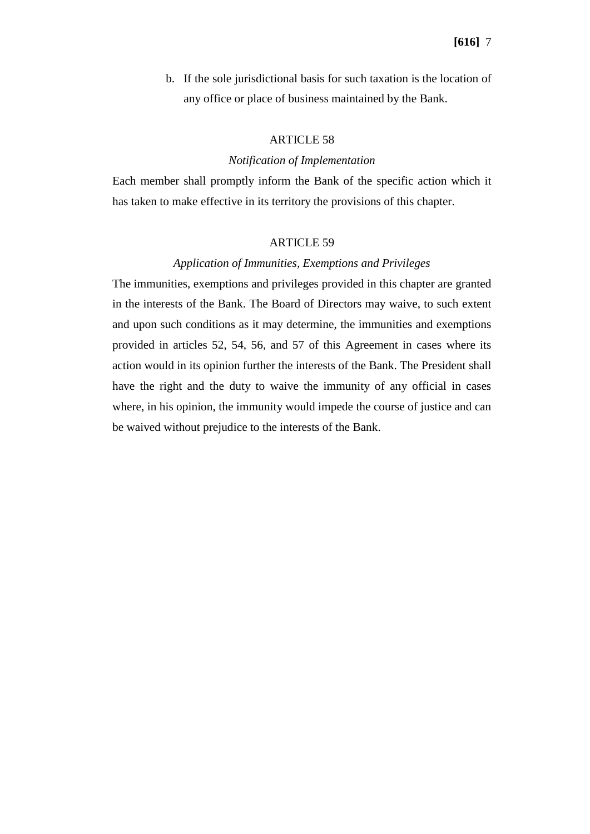b. If the sole jurisdictional basis for such taxation is the location of any office or place of business maintained by the Bank.

## ARTICLE 58

## *Notification of Implementation*

Each member shall promptly inform the Bank of the specific action which it has taken to make effective in its territory the provisions of this chapter.

#### ARTICLE 59

## *Application of Immunities, Exemptions and Privileges*

The immunities, exemptions and privileges provided in this chapter are granted in the interests of the Bank. The Board of Directors may waive, to such extent and upon such conditions as it may determine, the immunities and exemptions provided in articles 52, 54, 56, and 57 of this Agreement in cases where its action would in its opinion further the interests of the Bank. The President shall have the right and the duty to waive the immunity of any official in cases where, in his opinion, the immunity would impede the course of justice and can be waived without prejudice to the interests of the Bank.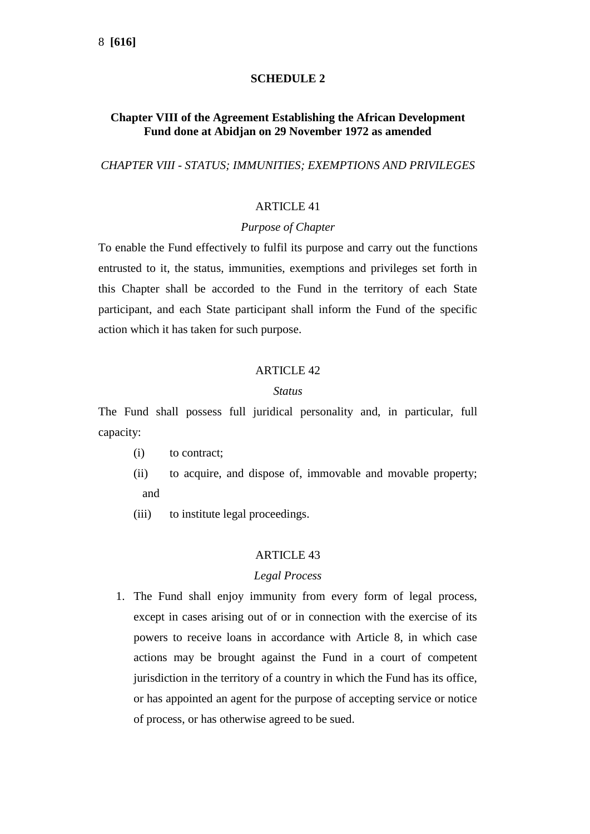# **SCHEDULE 2**

# **Chapter VIII of the Agreement Establishing the African Development Fund done at Abidjan on 29 November 1972 as amended**

*CHAPTER VIII - STATUS; IMMUNITIES; EXEMPTIONS AND PRIVILEGES*

## ARTICLE 41

## *Purpose of Chapter*

To enable the Fund effectively to fulfil its purpose and carry out the functions entrusted to it, the status, immunities, exemptions and privileges set forth in this Chapter shall be accorded to the Fund in the territory of each State participant, and each State participant shall inform the Fund of the specific action which it has taken for such purpose.

### ARTICLE  $42$

### *Status*

The Fund shall possess full juridical personality and, in particular, full capacity:

- (i) to contract;
- (ii) to acquire, and dispose of, immovable and movable property; and
- (iii) to institute legal proceedings.

### ARTICLE 43

### *Legal Process*

1. The Fund shall enjoy immunity from every form of legal process, except in cases arising out of or in connection with the exercise of its powers to receive loans in accordance with Article 8, in which case actions may be brought against the Fund in a court of competent jurisdiction in the territory of a country in which the Fund has its office, or has appointed an agent for the purpose of accepting service or notice of process, or has otherwise agreed to be sued.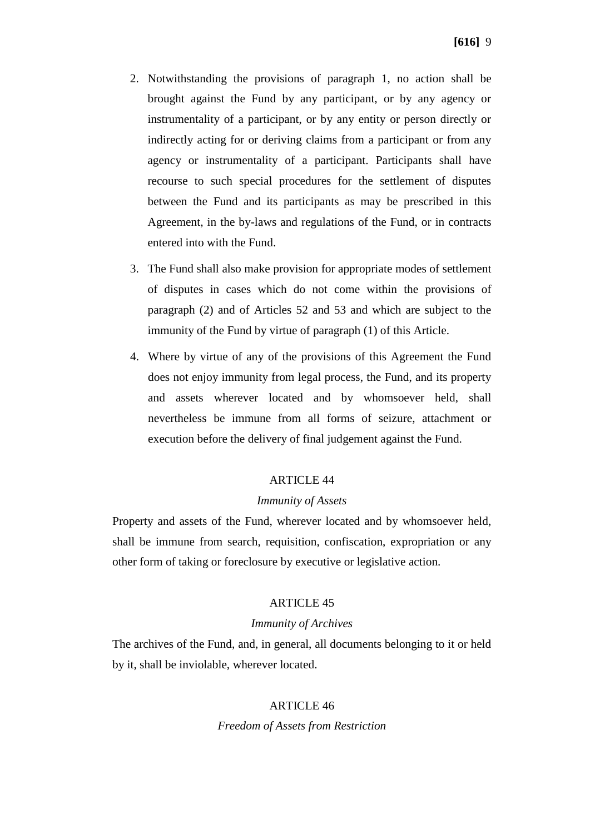- 2. Notwithstanding the provisions of paragraph 1, no action shall be brought against the Fund by any participant, or by any agency or instrumentality of a participant, or by any entity or person directly or indirectly acting for or deriving claims from a participant or from any agency or instrumentality of a participant. Participants shall have recourse to such special procedures for the settlement of disputes between the Fund and its participants as may be prescribed in this Agreement, in the by-laws and regulations of the Fund, or in contracts entered into with the Fund.
- 3. The Fund shall also make provision for appropriate modes of settlement of disputes in cases which do not come within the provisions of paragraph (2) and of Articles 52 and 53 and which are subject to the immunity of the Fund by virtue of paragraph (1) of this Article.
- 4. Where by virtue of any of the provisions of this Agreement the Fund does not enjoy immunity from legal process, the Fund, and its property and assets wherever located and by whomsoever held, shall nevertheless be immune from all forms of seizure, attachment or execution before the delivery of final judgement against the Fund.

# ARTICLE 44

### *Immunity of Assets*

Property and assets of the Fund, wherever located and by whomsoever held, shall be immune from search, requisition, confiscation, expropriation or any other form of taking or foreclosure by executive or legislative action.

## ARTICLE 45

### *Immunity of Archives*

The archives of the Fund, and, in general, all documents belonging to it or held by it, shall be inviolable, wherever located.

### ARTICLE 46

### *Freedom of Assets from Restriction*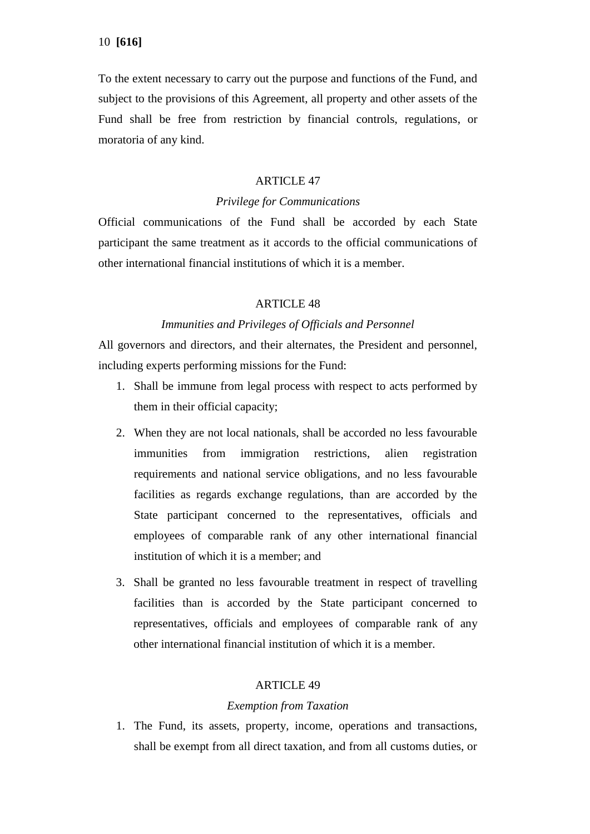To the extent necessary to carry out the purpose and functions of the Fund, and subject to the provisions of this Agreement, all property and other assets of the Fund shall be free from restriction by financial controls, regulations, or moratoria of any kind.

## ARTICLE 47

## *Privilege for Communications*

Official communications of the Fund shall be accorded by each State participant the same treatment as it accords to the official communications of other international financial institutions of which it is a member.

## ARTICLE 48

### *Immunities and Privileges of Officials and Personnel*

All governors and directors, and their alternates, the President and personnel, including experts performing missions for the Fund:

- 1. Shall be immune from legal process with respect to acts performed by them in their official capacity;
- 2. When they are not local nationals, shall be accorded no less favourable immunities from immigration restrictions, alien registration requirements and national service obligations, and no less favourable facilities as regards exchange regulations, than are accorded by the State participant concerned to the representatives, officials and employees of comparable rank of any other international financial institution of which it is a member; and
- 3. Shall be granted no less favourable treatment in respect of travelling facilities than is accorded by the State participant concerned to representatives, officials and employees of comparable rank of any other international financial institution of which it is a member.

### ARTICLE 49

### *Exemption from Taxation*

1. The Fund, its assets, property, income, operations and transactions, shall be exempt from all direct taxation, and from all customs duties, or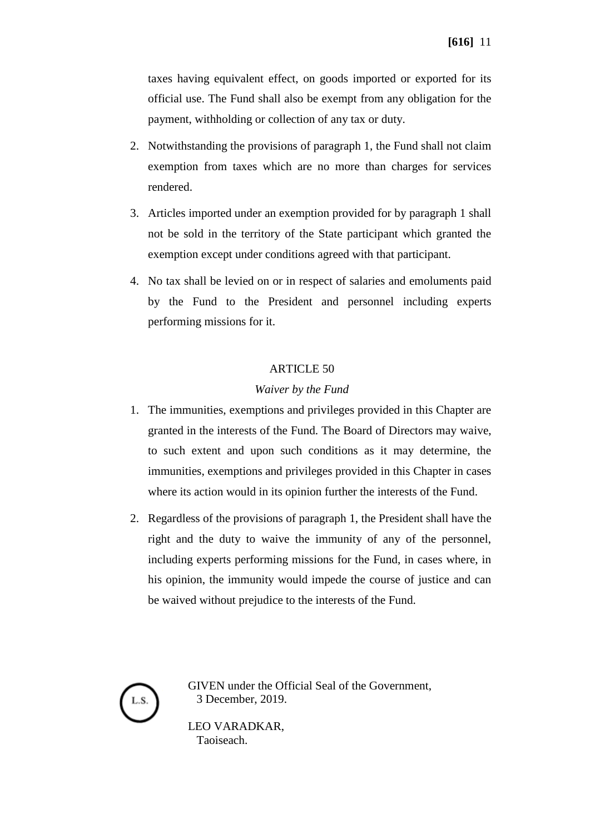taxes having equivalent effect, on goods imported or exported for its official use. The Fund shall also be exempt from any obligation for the payment, withholding or collection of any tax or duty.

- 2. Notwithstanding the provisions of paragraph 1, the Fund shall not claim exemption from taxes which are no more than charges for services rendered.
- 3. Articles imported under an exemption provided for by paragraph 1 shall not be sold in the territory of the State participant which granted the exemption except under conditions agreed with that participant.
- 4. No tax shall be levied on or in respect of salaries and emoluments paid by the Fund to the President and personnel including experts performing missions for it.

## ARTICLE 50

## *Waiver by the Fund*

- 1. The immunities, exemptions and privileges provided in this Chapter are granted in the interests of the Fund. The Board of Directors may waive, to such extent and upon such conditions as it may determine, the immunities, exemptions and privileges provided in this Chapter in cases where its action would in its opinion further the interests of the Fund.
- 2. Regardless of the provisions of paragraph 1, the President shall have the right and the duty to waive the immunity of any of the personnel, including experts performing missions for the Fund, in cases where, in his opinion, the immunity would impede the course of justice and can be waived without prejudice to the interests of the Fund.



GIVEN under the Official Seal of the Government, 3 December, 2019.

LEO VARADKAR, Taoiseach.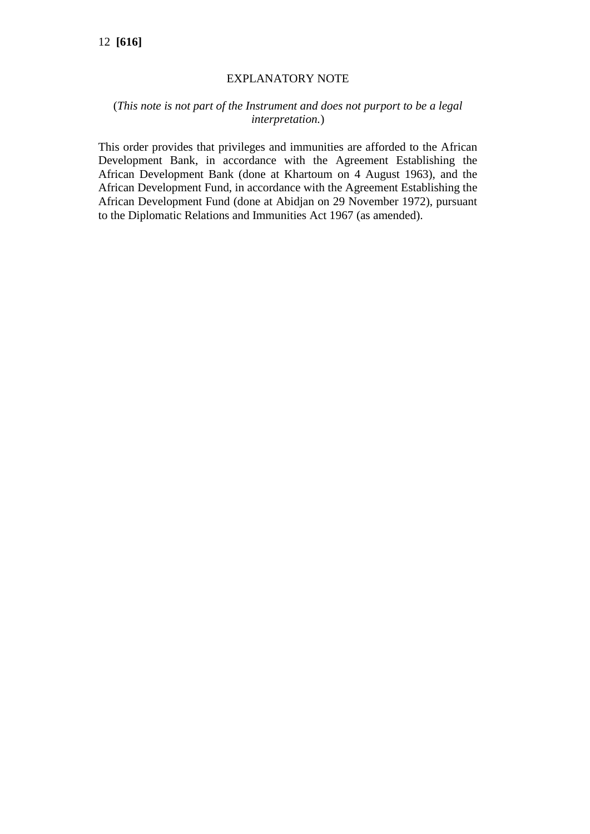# EXPLANATORY NOTE

# (*This note is not part of the Instrument and does not purport to be a legal interpretation.*)

This order provides that privileges and immunities are afforded to the African Development Bank, in accordance with the Agreement Establishing the African Development Bank (done at Khartoum on 4 August 1963), and the African Development Fund, in accordance with the Agreement Establishing the African Development Fund (done at Abidjan on 29 November 1972), pursuant to the Diplomatic Relations and Immunities Act 1967 (as amended).